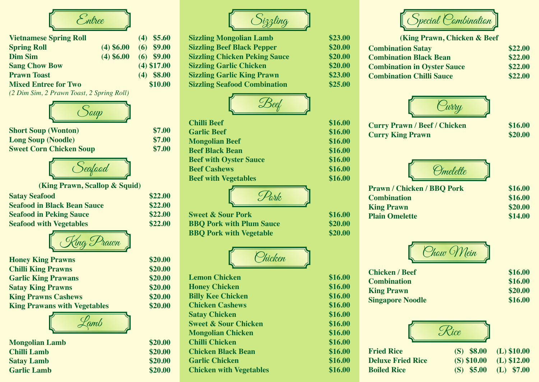

| <b>Vietnamese Spring Roll</b> |            | $(4)$ \$5.60  |
|-------------------------------|------------|---------------|
| <b>Spring Roll</b>            | (4) \$6.00 | $(6)$ \$9.00  |
| <b>Dim Sim</b>                | (4) \$6.00 | $(6)$ \$9.00  |
| <b>Sang Chow Bow</b>          |            | $(4)$ \$17.00 |
| <b>Prawn Toast</b>            |            | $(4)$ \$8.00  |
| <b>Mixed Entree for Two</b>   |            | \$10.00       |

*(2 Dim Sim, 2 Prawn Toast, 2 Spring Roll)*



**Short Soup (Wonton) \$7.00 Long Soup (Noodle)** \$7.00<br> **Sweet Corn Chicken Soup** \$7.00 **Sweet Corn Chicken Soup** 



**(King Prawn, Scallop & Squid)**

| <b>Satay Seafood</b>               | \$22.00 |
|------------------------------------|---------|
| <b>Seafood in Black Bean Sauce</b> | \$22.00 |
| <b>Seafood in Peking Sauce</b>     | \$22.00 |
| <b>Seafood with Vegetables</b>     | \$22.00 |



| <b>Honey King Prawns</b>            | \$20.00 |
|-------------------------------------|---------|
| <b>Chilli King Prawns</b>           | \$20.00 |
| <b>Garlic King Prawans</b>          | \$20.00 |
| <b>Satay King Prawns</b>            | \$20.00 |
| <b>King Prawns Cashews</b>          | \$20.00 |
| <b>King Prawans with Vegetables</b> | \$20.00 |



| <b>Mongolian Lamb</b> | \$20.00 |
|-----------------------|---------|
| <b>Chilli Lamb</b>    | \$20.00 |
| <b>Satay Lamb</b>     | \$20.00 |
| <b>Garlic Lamb</b>    | \$20.00 |



**Lemon Chicken \$16.00 Honey Chicken \$16.00 Billy Kee Chicken \$16.00 Chicken Cashews \$16.00 Satay Chicken \$16.00 Sweet & Sour Chicken \$16.00 Mongolian Chicken \$16.00 Chilli Chicken \$16.00 Chicken Black Bean \$16.00 Garlic Chicken \$16.00 Chicken with Vegetables \$16.00**

| <b>Sizzling Mongolian Lamb</b>       | \$23.00 |
|--------------------------------------|---------|
| <b>Sizzling Beef Black Pepper</b>    | \$20.00 |
| <b>Sizzling Chicken Peking Sauce</b> | \$20.00 |
| <b>Sizzling Garlic Chicken</b>       | \$20.00 |
| <b>Sizzling Garlic King Prawn</b>    | \$23.00 |
| <b>Sizzling Seafood Combination</b>  | \$25.00 |



| <b>Chilli Beef</b>            | \$16.00 |
|-------------------------------|---------|
| <b>Garlic Beef</b>            | \$16.00 |
| <b>Mongolian Beef</b>         | \$16.00 |
| <b>Beef Black Bean</b>        | \$16.00 |
| <b>Beef with Oyster Sauce</b> | \$16.00 |
| <b>Beef Cashews</b>           | \$16.00 |
| <b>Beef with Vegetables</b>   | \$16.00 |
|                               |         |



**Sweet & Sour Pork \$16.00 BBQ Pork with Plum Sauce \$20.00 BBQ Pork with Vegetable \$20.00** 



| <b>Lemon Chicken</b>            |
|---------------------------------|
| <b>Honey Chicken</b>            |
| <b>Billy Kee Chicken</b>        |
| <b>Chicken Cashews</b>          |
| <b>Satay Chicken</b>            |
| <b>Sweet &amp; Sour Chicken</b> |
| <b>Mongolian Chicken</b>        |
| <b>Chilli Chicken</b>           |
| <b>Chicken Black Bean</b>       |
| <b>Garlic Chicken</b>           |
| <b>Chicken with Vegetables</b>  |



| <b>(King Prawn, Chicken &amp; Beef</b> |         |
|----------------------------------------|---------|
| <b>Combination Satay</b>               | \$22.00 |
| <b>Combination Black Bean</b>          | \$22.00 |
| <b>Combination in Oyster Sauce</b>     | \$22.00 |
| <b>Combination Chilli Sauce</b>        | \$22.00 |
|                                        |         |



| \$16.00 |
|---------|
| \$20.00 |
|         |



| \$16.00 |
|---------|
| \$20.00 |
| \$14.00 |
|         |



| <b>Chicken / Beef</b>   | \$16.00 |
|-------------------------|---------|
| <b>Combination</b>      | \$16.00 |
| <b>King Prawn</b>       | \$20.00 |
| <b>Singapore Noodle</b> | \$16.00 |
|                         |         |



| <b>Fried Rice</b>        | $(S)$ \$8.00 (L) \$10.00 |  |
|--------------------------|--------------------------|--|
| <b>Deluxe Fried Rice</b> | $(S) $10.00$ (L) \$12.00 |  |
| <b>Boiled Rice</b>       | $(S)$ \$5.00 (L) \$7.00  |  |